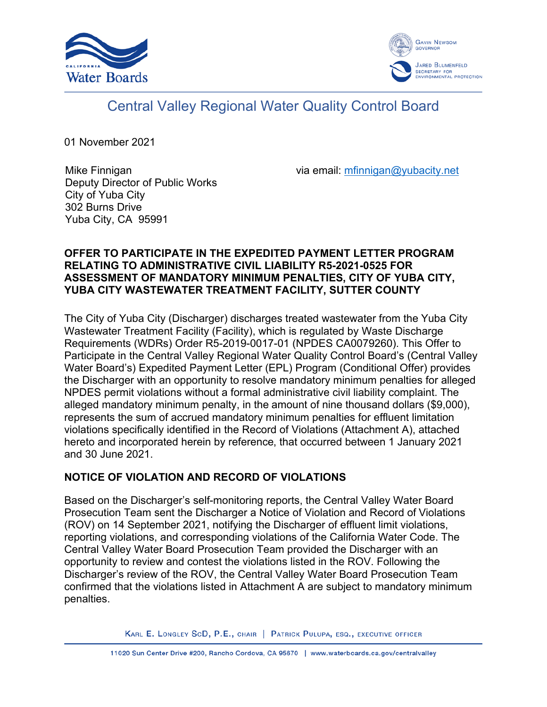



# Central Valley Regional Water Quality Control Board

01 November 2021

Mike Finnigan Deputy Director of Public Works City of Yuba City 302 Burns Drive Yuba City, CA 95991

via email: [mfinnigan@yubacity.net](mailto:mfinnigan@yubacity.net)

# **OFFER TO PARTICIPATE IN THE EXPEDITED PAYMENT LETTER PROGRAM RELATING TO ADMINISTRATIVE CIVIL LIABILITY R5-2021-0525 FOR ASSESSMENT OF MANDATORY MINIMUM PENALTIES, CITY OF YUBA CITY, YUBA CITY WASTEWATER TREATMENT FACILITY, SUTTER COUNTY**

The City of Yuba City (Discharger) discharges treated wastewater from the Yuba City Wastewater Treatment Facility (Facility), which is regulated by Waste Discharge Requirements (WDRs) Order R5-2019-0017-01 (NPDES CA0079260). This Offer to Participate in the Central Valley Regional Water Quality Control Board's (Central Valley Water Board's) Expedited Payment Letter (EPL) Program (Conditional Offer) provides the Discharger with an opportunity to resolve mandatory minimum penalties for alleged NPDES permit violations without a formal administrative civil liability complaint. The alleged mandatory minimum penalty, in the amount of nine thousand dollars (\$9,000), represents the sum of accrued mandatory minimum penalties for effluent limitation violations specifically identified in the Record of Violations (Attachment A), attached hereto and incorporated herein by reference, that occurred between 1 January 2021 and 30 June 2021.

# **NOTICE OF VIOLATION AND RECORD OF VIOLATIONS**

Based on the Discharger's self-monitoring reports, the Central Valley Water Board Prosecution Team sent the Discharger a Notice of Violation and Record of Violations (ROV) on 14 September 2021, notifying the Discharger of effluent limit violations, reporting violations, and corresponding violations of the California Water Code. The Central Valley Water Board Prosecution Team provided the Discharger with an opportunity to review and contest the violations listed in the ROV. Following the Discharger's review of the ROV, the Central Valley Water Board Prosecution Team confirmed that the violations listed in Attachment A are subject to mandatory minimum penalties.

KARL E. LONGLEY SCD, P.E., CHAIR | PATRICK PULUPA, ESQ., EXECUTIVE OFFICER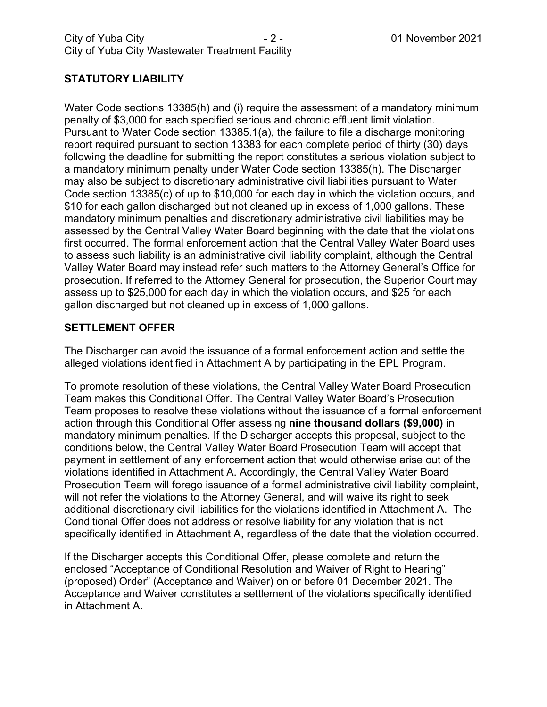# **STATUTORY LIABILITY**

Water Code sections 13385(h) and (i) require the assessment of a mandatory minimum penalty of \$3,000 for each specified serious and chronic effluent limit violation. Pursuant to Water Code section 13385.1(a), the failure to file a discharge monitoring report required pursuant to section 13383 for each complete period of thirty (30) days following the deadline for submitting the report constitutes a serious violation subject to a mandatory minimum penalty under Water Code section 13385(h). The Discharger may also be subject to discretionary administrative civil liabilities pursuant to Water Code section 13385(c) of up to \$10,000 for each day in which the violation occurs, and \$10 for each gallon discharged but not cleaned up in excess of 1,000 gallons. These mandatory minimum penalties and discretionary administrative civil liabilities may be assessed by the Central Valley Water Board beginning with the date that the violations first occurred. The formal enforcement action that the Central Valley Water Board uses to assess such liability is an administrative civil liability complaint, although the Central Valley Water Board may instead refer such matters to the Attorney General's Office for prosecution. If referred to the Attorney General for prosecution, the Superior Court may assess up to \$25,000 for each day in which the violation occurs, and \$25 for each gallon discharged but not cleaned up in excess of 1,000 gallons.

# **SETTLEMENT OFFER**

The Discharger can avoid the issuance of a formal enforcement action and settle the alleged violations identified in Attachment A by participating in the EPL Program.

To promote resolution of these violations, the Central Valley Water Board Prosecution Team makes this Conditional Offer. The Central Valley Water Board's Prosecution Team proposes to resolve these violations without the issuance of a formal enforcement action through this Conditional Offer assessing **nine thousand dollars (\$9,000)** in mandatory minimum penalties. If the Discharger accepts this proposal, subject to the conditions below, the Central Valley Water Board Prosecution Team will accept that payment in settlement of any enforcement action that would otherwise arise out of the violations identified in Attachment A. Accordingly, the Central Valley Water Board Prosecution Team will forego issuance of a formal administrative civil liability complaint, will not refer the violations to the Attorney General, and will waive its right to seek additional discretionary civil liabilities for the violations identified in Attachment A. The Conditional Offer does not address or resolve liability for any violation that is not specifically identified in Attachment A, regardless of the date that the violation occurred.

If the Discharger accepts this Conditional Offer, please complete and return the enclosed "Acceptance of Conditional Resolution and Waiver of Right to Hearing" (proposed) Order" (Acceptance and Waiver) on or before 01 December 2021. The Acceptance and Waiver constitutes a settlement of the violations specifically identified in Attachment A.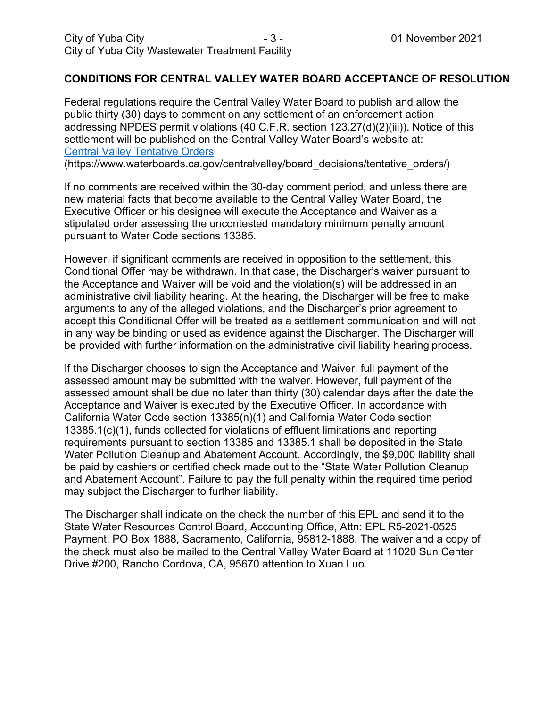## **CONDITIONS FOR CENTRAL VALLEY WATER BOARD ACCEPTANCE OF RESOLUTION**

Federal regulations require the Central Valley Water Board to publish and allow the public thirty (30) days to comment on any settlement of an enforcement action addressing NPDES permit violations (40 C.F.R. section 123.27(d)(2)(iii)). Notice of this settlement will be published on the Central Valley Water Board's website at: [Central Valley Tentative Orders](https://www.waterboards.ca.gov/centralvalley/board_decisions/tentative_orders/)

(https://www.waterboards.ca.gov/centralvalley/board\_decisions/tentative\_orders/)

If no comments are received within the 30-day comment period, and unless there are new material facts that become available to the Central Valley Water Board, the Executive Officer or his designee will execute the Acceptance and Waiver as a stipulated order assessing the uncontested mandatory minimum penalty amount pursuant to Water Code sections 13385.

However, if significant comments are received in opposition to the settlement, this Conditional Offer may be withdrawn. In that case, the Discharger's waiver pursuant to the Acceptance and Waiver will be void and the violation(s) will be addressed in an administrative civil liability hearing. At the hearing, the Discharger will be free to make arguments to any of the alleged violations, and the Discharger's prior agreement to accept this Conditional Offer will be treated as a settlement communication and will not in any way be binding or used as evidence against the Discharger. The Discharger will be provided with further information on the administrative civil liability hearing process.

If the Discharger chooses to sign the Acceptance and Waiver, full payment of the assessed amount may be submitted with the waiver. However, full payment of the assessed amount shall be due no later than thirty (30) calendar days after the date the Acceptance and Waiver is executed by the Executive Officer. In accordance with California Water Code section 13385(n)(1) and California Water Code section 13385.1(c)(1), funds collected for violations of effluent limitations and reporting requirements pursuant to section 13385 and 13385.1 shall be deposited in the State Water Pollution Cleanup and Abatement Account. Accordingly, the \$9,000 liability shall be paid by cashiers or certified check made out to the "State Water Pollution Cleanup and Abatement Account". Failure to pay the full penalty within the required time period may subject the Discharger to further liability.

The Discharger shall indicate on the check the number of this EPL and send it to the State Water Resources Control Board, Accounting Office, Attn: EPL R5-2021-0525 Payment, PO Box 1888, Sacramento, California, 95812-1888. The waiver and a copy of the check must also be mailed to the Central Valley Water Board at 11020 Sun Center Drive #200, Rancho Cordova, CA, 95670 attention to Xuan Luo.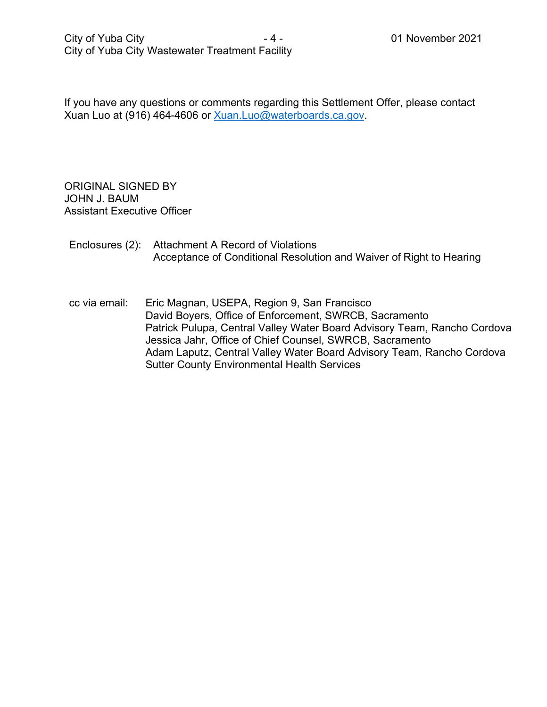If you have any questions or comments regarding this Settlement Offer, please contact Xuan Luo at (916) 464-4606 or [Xuan.Luo@waterboards.ca.gov.](mailto:Xuan.Luo@waterboards.ca.gov)

ORIGINAL SIGNED BY JOHN J. BAUM Assistant Executive Officer

# Enclosures (2): Attachment A Record of Violations Acceptance of Conditional Resolution and Waiver of Right to Hearing

cc via email: Eric Magnan, USEPA, Region 9, San Francisco David Boyers, Office of Enforcement, SWRCB, Sacramento Patrick Pulupa, Central Valley Water Board Advisory Team, Rancho Cordova Jessica Jahr, Office of Chief Counsel, SWRCB, Sacramento Adam Laputz, Central Valley Water Board Advisory Team, Rancho Cordova Sutter County Environmental Health Services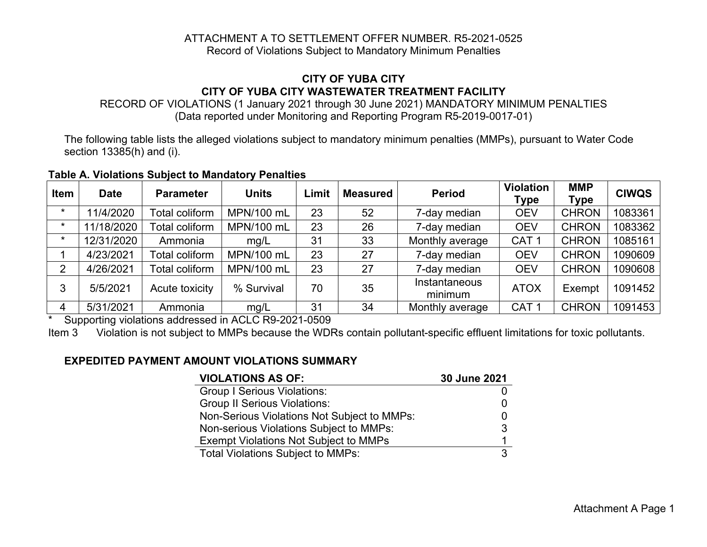#### ATTACHMENT A TO SETTLEMENT OFFER NUMBER. R5-2021-0525 Record of Violations Subject to Mandatory Minimum Penalties

# **CITY OF YUBA CITY CITY OF YUBA CITY WASTEWATER TREATMENT FACILITY**

RECORD OF VIOLATIONS (1 January 2021 through 30 June 2021) MANDATORY MINIMUM PENALTIES (Data reported under Monitoring and Reporting Program R5-2019-0017-01)

The following table lists the alleged violations subject to mandatory minimum penalties (MMPs), pursuant to Water Code section 13385(h) and (i).

| <b>Item</b> | <b>Date</b> | <b>Parameter</b>      | <b>Units</b> | Limit | <b>Measured</b> | <b>Period</b>            | <b>Violation</b><br><b>Type</b> | <b>MMP</b><br><b>Type</b> | <b>CIWQS</b> |
|-------------|-------------|-----------------------|--------------|-------|-----------------|--------------------------|---------------------------------|---------------------------|--------------|
| $\star$     | 11/4/2020   | <b>Total coliform</b> | MPN/100 mL   | 23    | 52              | 7-day median             | <b>OEV</b>                      | <b>CHRON</b>              | 1083361      |
| $\star$     | 11/18/2020  | <b>Total coliform</b> | MPN/100 mL   | 23    | 26              | 7-day median             | <b>OEV</b>                      | <b>CHRON</b>              | 1083362      |
| $\star$     | 12/31/2020  | Ammonia               | mg/L         | 31    | 33              | Monthly average          | CAT <sub>1</sub>                | <b>CHRON</b>              | 1085161      |
|             | 4/23/2021   | Total coliform        | MPN/100 mL   | 23    | 27              | 7-day median             | <b>OEV</b>                      | <b>CHRON</b>              | 1090609      |
| 2           | 4/26/2021   | <b>Total coliform</b> | MPN/100 mL   | 23    | 27              | 7-day median             | <b>OEV</b>                      | <b>CHRON</b>              | 1090608      |
|             | 5/5/2021    | Acute toxicity        | % Survival   | 70    | 35              | Instantaneous<br>minimum | <b>ATOX</b>                     | Exempt                    | 1091452      |
| 4           | 5/31/2021   | Ammonia               | mg/L         | 31    | 34              | Monthly average          | CAT <sub>1</sub>                | <b>CHRON</b>              | 1091453      |

#### **Table A. Violations Subject to Mandatory Penalties**

\* Supporting violations addressed in ACLC R9-2021-0509

Item 3 Violation is not subject to MMPs because the WDRs contain pollutant-specific effluent limitations for toxic pollutants.

# **EXPEDITED PAYMENT AMOUNT VIOLATIONS SUMMARY**

| <b>VIOLATIONS AS OF:</b>                     | 30 June 2021 |
|----------------------------------------------|--------------|
| <b>Group I Serious Violations:</b>           |              |
| <b>Group II Serious Violations:</b>          |              |
| Non-Serious Violations Not Subject to MMPs:  |              |
| Non-serious Violations Subject to MMPs:      | 3            |
| <b>Exempt Violations Not Subject to MMPs</b> |              |
| <b>Total Violations Subject to MMPs:</b>     | 3            |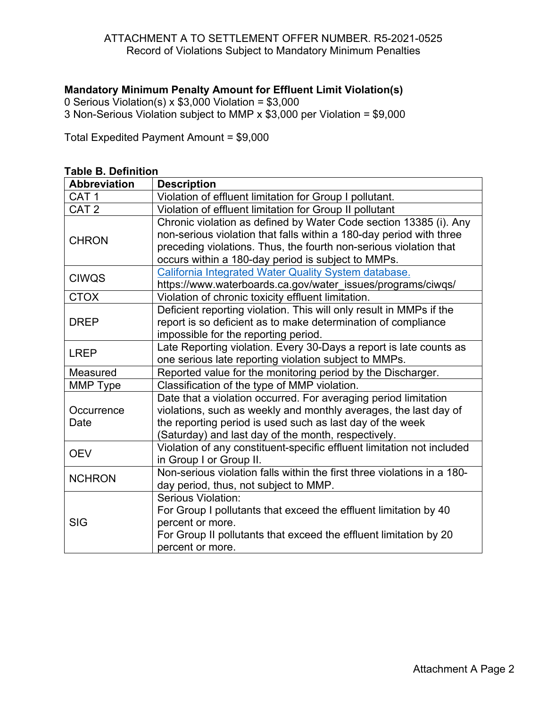## ATTACHMENT A TO SETTLEMENT OFFER NUMBER. R5-2021-0525 Record of Violations Subject to Mandatory Minimum Penalties

# **Mandatory Minimum Penalty Amount for Effluent Limit Violation(s)**

0 Serious Violation(s) x \$3,000 Violation = \$3,000

3 Non-Serious Violation subject to MMP x \$3,000 per Violation = \$9,000

Total Expedited Payment Amount = \$9,000

| <b>Abbreviation</b> | <b>Description</b>                                                                                                                                                                                                                                                  |
|---------------------|---------------------------------------------------------------------------------------------------------------------------------------------------------------------------------------------------------------------------------------------------------------------|
| CAT <sub>1</sub>    | Violation of effluent limitation for Group I pollutant.                                                                                                                                                                                                             |
| CAT <sub>2</sub>    | Violation of effluent limitation for Group II pollutant                                                                                                                                                                                                             |
| <b>CHRON</b>        | Chronic violation as defined by Water Code section 13385 (i). Any<br>non-serious violation that falls within a 180-day period with three<br>preceding violations. Thus, the fourth non-serious violation that<br>occurs within a 180-day period is subject to MMPs. |
| <b>CIWQS</b>        | California Integrated Water Quality System database.<br>https://www.waterboards.ca.gov/water_issues/programs/ciwqs/                                                                                                                                                 |
| <b>CTOX</b>         | Violation of chronic toxicity effluent limitation.                                                                                                                                                                                                                  |
| <b>DREP</b>         | Deficient reporting violation. This will only result in MMPs if the<br>report is so deficient as to make determination of compliance<br>impossible for the reporting period.                                                                                        |
| <b>LREP</b>         | Late Reporting violation. Every 30-Days a report is late counts as<br>one serious late reporting violation subject to MMPs.                                                                                                                                         |
| Measured            | Reported value for the monitoring period by the Discharger.                                                                                                                                                                                                         |
| MMP Type            | Classification of the type of MMP violation.                                                                                                                                                                                                                        |
| Occurrence<br>Date  | Date that a violation occurred. For averaging period limitation<br>violations, such as weekly and monthly averages, the last day of<br>the reporting period is used such as last day of the week<br>(Saturday) and last day of the month, respectively.             |
| <b>OEV</b>          | Violation of any constituent-specific effluent limitation not included<br>in Group I or Group II.                                                                                                                                                                   |
| <b>NCHRON</b>       | Non-serious violation falls within the first three violations in a 180-<br>day period, thus, not subject to MMP.                                                                                                                                                    |
| <b>SIG</b>          | <b>Serious Violation:</b><br>For Group I pollutants that exceed the effluent limitation by 40<br>percent or more.<br>For Group II pollutants that exceed the effluent limitation by 20<br>percent or more.                                                          |

#### **Table B. Definition**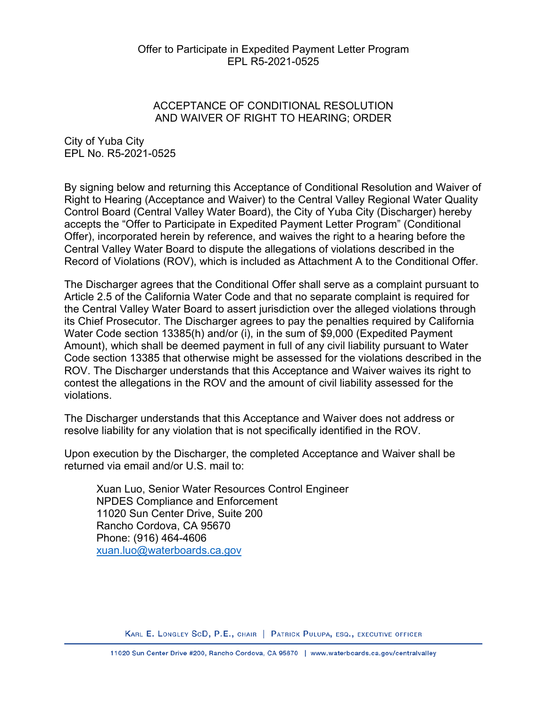#### Offer to Participate in Expedited Payment Letter Program EPL R5-2021-0525

# ACCEPTANCE OF CONDITIONAL RESOLUTION AND WAIVER OF RIGHT TO HEARING; ORDER

City of Yuba City EPL No. R5-2021-0525

By signing below and returning this Acceptance of Conditional Resolution and Waiver of Right to Hearing (Acceptance and Waiver) to the Central Valley Regional Water Quality Control Board (Central Valley Water Board), the City of Yuba City (Discharger) hereby accepts the "Offer to Participate in Expedited Payment Letter Program" (Conditional Offer), incorporated herein by reference, and waives the right to a hearing before the Central Valley Water Board to dispute the allegations of violations described in the Record of Violations (ROV), which is included as Attachment A to the Conditional Offer.

The Discharger agrees that the Conditional Offer shall serve as a complaint pursuant to Article 2.5 of the California Water Code and that no separate complaint is required for the Central Valley Water Board to assert jurisdiction over the alleged violations through its Chief Prosecutor. The Discharger agrees to pay the penalties required by California Water Code section 13385(h) and/or (i), in the sum of \$9,000 (Expedited Payment Amount), which shall be deemed payment in full of any civil liability pursuant to Water Code section 13385 that otherwise might be assessed for the violations described in the ROV. The Discharger understands that this Acceptance and Waiver waives its right to contest the allegations in the ROV and the amount of civil liability assessed for the violations.

The Discharger understands that this Acceptance and Waiver does not address or resolve liability for any violation that is not specifically identified in the ROV.

Upon execution by the Discharger, the completed Acceptance and Waiver shall be returned via email and/or U.S. mail to:

Xuan Luo, Senior Water Resources Control Engineer NPDES Compliance and Enforcement 11020 Sun Center Drive, Suite 200 Rancho Cordova, CA 95670 Phone: (916) 464-4606 [xuan.luo@waterboards.ca.gov](mailto:xuan.luo@waterboards.ca.gov)

KARL E. LONGLEY SCD, P.E., CHAIR | PATRICK PULUPA, ESQ., EXECUTIVE OFFICER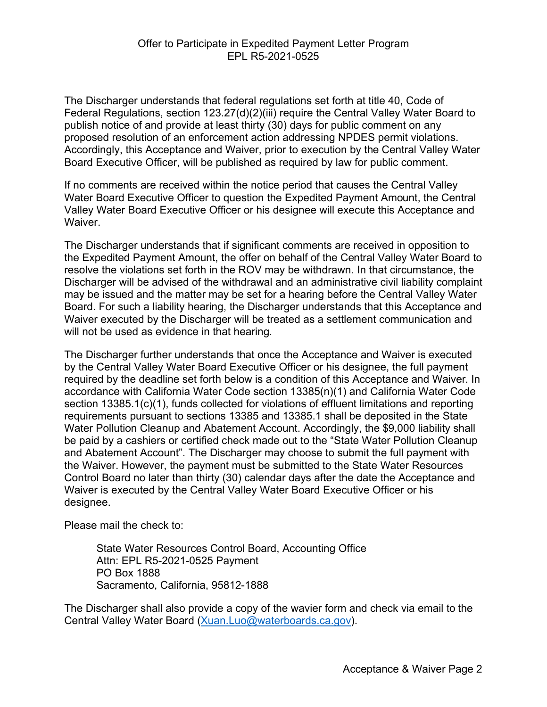The Discharger understands that federal regulations set forth at title 40, Code of Federal Regulations, section 123.27(d)(2)(iii) require the Central Valley Water Board to publish notice of and provide at least thirty (30) days for public comment on any proposed resolution of an enforcement action addressing NPDES permit violations. Accordingly, this Acceptance and Waiver, prior to execution by the Central Valley Water Board Executive Officer, will be published as required by law for public comment.

If no comments are received within the notice period that causes the Central Valley Water Board Executive Officer to question the Expedited Payment Amount, the Central Valley Water Board Executive Officer or his designee will execute this Acceptance and **Waiver** 

The Discharger understands that if significant comments are received in opposition to the Expedited Payment Amount, the offer on behalf of the Central Valley Water Board to resolve the violations set forth in the ROV may be withdrawn. In that circumstance, the Discharger will be advised of the withdrawal and an administrative civil liability complaint may be issued and the matter may be set for a hearing before the Central Valley Water Board. For such a liability hearing, the Discharger understands that this Acceptance and Waiver executed by the Discharger will be treated as a settlement communication and will not be used as evidence in that hearing.

The Discharger further understands that once the Acceptance and Waiver is executed by the Central Valley Water Board Executive Officer or his designee, the full payment required by the deadline set forth below is a condition of this Acceptance and Waiver. In accordance with California Water Code section 13385(n)(1) and California Water Code section 13385.1(c)(1), funds collected for violations of effluent limitations and reporting requirements pursuant to sections 13385 and 13385.1 shall be deposited in the State Water Pollution Cleanup and Abatement Account. Accordingly, the \$9,000 liability shall be paid by a cashiers or certified check made out to the "State Water Pollution Cleanup and Abatement Account". The Discharger may choose to submit the full payment with the Waiver. However, the payment must be submitted to the State Water Resources Control Board no later than thirty (30) calendar days after the date the Acceptance and Waiver is executed by the Central Valley Water Board Executive Officer or his designee.

Please mail the check to:

State Water Resources Control Board, Accounting Office Attn: EPL R5-2021-0525 Payment PO Box 1888 Sacramento, California, 95812-1888

The Discharger shall also provide a copy of the wavier form and check via email to the Central Valley Water Board ([Xuan.Luo@waterboards.ca.gov](mailto:Xuan.Luo@waterboards.ca.gov)).